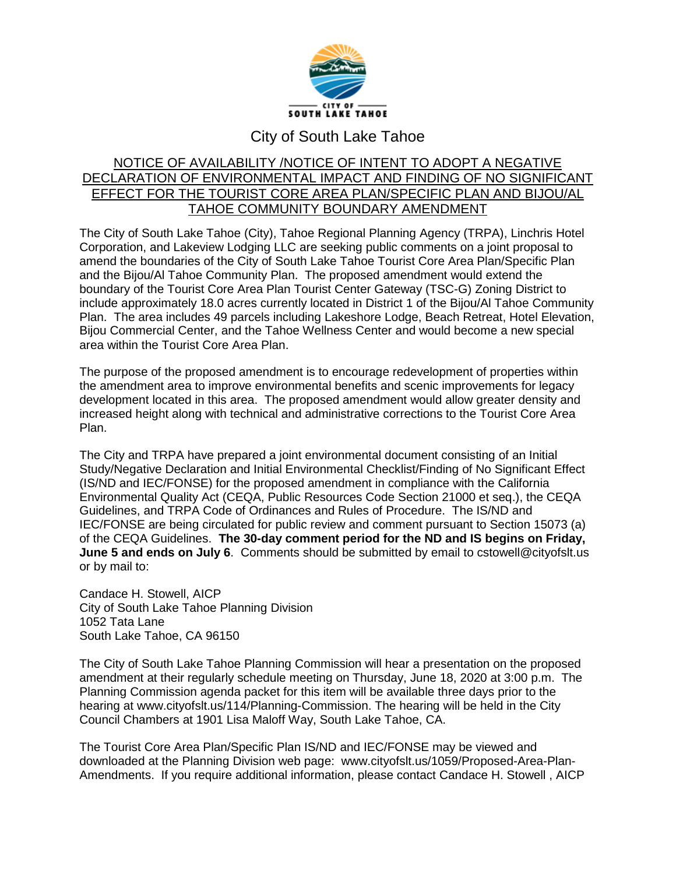

## City of South Lake Tahoe

## NOTICE OF AVAILABILITY /NOTICE OF INTENT TO ADOPT A NEGATIVE DECLARATION OF ENVIRONMENTAL IMPACT AND FINDING OF NO SIGNIFICANT EFFECT FOR THE TOURIST CORE AREA PLAN/SPECIFIC PLAN AND BIJOU/AL TAHOE COMMUNITY BOUNDARY AMENDMENT

The City of South Lake Tahoe (City), Tahoe Regional Planning Agency (TRPA), Linchris Hotel Corporation, and Lakeview Lodging LLC are seeking public comments on a joint proposal to amend the boundaries of the City of South Lake Tahoe Tourist Core Area Plan/Specific Plan and the Bijou/Al Tahoe Community Plan. The proposed amendment would extend the boundary of the Tourist Core Area Plan Tourist Center Gateway (TSC-G) Zoning District to include approximately 18.0 acres currently located in District 1 of the Bijou/Al Tahoe Community Plan. The area includes 49 parcels including Lakeshore Lodge, Beach Retreat, Hotel Elevation, Bijou Commercial Center, and the Tahoe Wellness Center and would become a new special area within the Tourist Core Area Plan.

The purpose of the proposed amendment is to encourage redevelopment of properties within the amendment area to improve environmental benefits and scenic improvements for legacy development located in this area. The proposed amendment would allow greater density and increased height along with technical and administrative corrections to the Tourist Core Area Plan.

The City and TRPA have prepared a joint environmental document consisting of an Initial Study/Negative Declaration and Initial Environmental Checklist/Finding of No Significant Effect (IS/ND and IEC/FONSE) for the proposed amendment in compliance with the California Environmental Quality Act (CEQA, Public Resources Code Section 21000 et seq.), the CEQA Guidelines, and TRPA Code of Ordinances and Rules of Procedure. The IS/ND and IEC/FONSE are being circulated for public review and comment pursuant to Section 15073 (a) of the CEQA Guidelines. **The 30-day comment period for the ND and IS begins on Friday, June 5 and ends on July 6.** Comments should be submitted by email to [cstowell@cityofslt.us](mailto:cstowell@cityofslt.us) or by mail to:

Candace H. Stowell, AICP City of South Lake Tahoe Planning Division 1052 Tata Lane South Lake Tahoe, CA 96150

The City of South Lake Tahoe Planning Commission will hear a presentation on the proposed amendment at their regularly schedule meeting on Thursday, June 18, 2020 at 3:00 p.m. The Planning Commission agenda packet for this item will be available three days prior to the hearing at [www.cityofslt.us/114/Planning-Commission.](http://www.cityofslt.us/114/Planning-Commission) The hearing will be held in the City Council Chambers at 1901 Lisa Maloff Way, South Lake Tahoe, CA.

The Tourist Core Area Plan/Specific Plan IS/ND and IEC/FONSE may be viewed and downloaded at the Planning Division web page: [www.cityofslt.us/1059/Proposed-Area-Plan-](http://www.cityofslt.us/1059/Proposed-Area-Plan-Amendments)[Amendments.](http://www.cityofslt.us/1059/Proposed-Area-Plan-Amendments) If you require additional information, please contact Candace H. Stowell , AICP